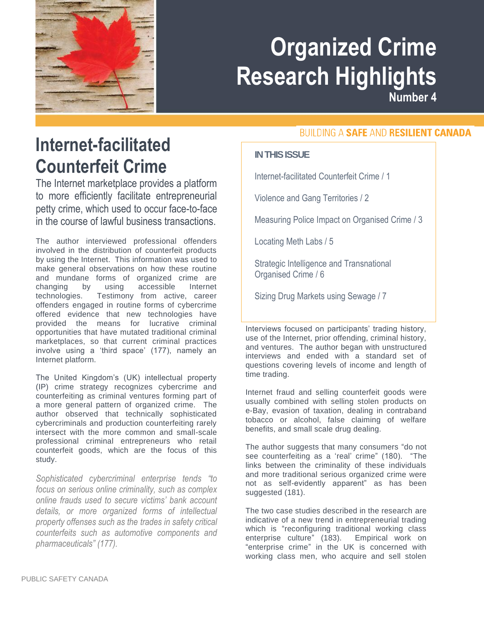

# **Organized Crime Research Highlights**

**Number 4**

### **Internet-facilitated Counterfeit Crime**

The Internet marketplace provides a platform to more efficiently facilitate entrepreneurial petty crime, which used to occur face-to-face in the course of lawful business transactions.

The author interviewed professional offenders involved in the distribution of counterfeit products by using the Internet. This information was used to make general observations on how these routine and mundane forms of organized crime are changing by using accessible Internet technologies. Testimony from active, career offenders engaged in routine forms of cybercrime offered evidence that new technologies have provided the means for lucrative criminal opportunities that have mutated traditional criminal marketplaces, so that current criminal practices involve using a 'third space' (177), namely an Internet platform.

The United Kingdom's (UK) intellectual property (IP) crime strategy recognizes cybercrime and counterfeiting as criminal ventures forming part of a more general pattern of organized crime. The author observed that technically sophisticated cybercriminals and production counterfeiting rarely intersect with the more common and small-scale professional criminal entrepreneurs who retail counterfeit goods, which are the focus of this study.

*Sophisticated cybercriminal enterprise tends "to focus on serious online criminality, such as complex online frauds used to secure victims' bank account details, or more organized forms of intellectual property offenses such as the trades in safety critical counterfeits such as automotive components and pharmaceuticals" (177).*

#### **BUILDING A SAFE AND RESILIENT CANADA**

#### **IN THIS ISSUE**

Internet-facilitated Counterfeit Crime / 1

Violence and Gang Territories / 2

Measuring Police Impact on Organised Crime / 3

Locating Meth Labs / 5

Strategic Intelligence and Transnational Organised Crime / 6

Sizing Drug Markets using Sewage / 7

Interviews focused on participants' trading history, use of the Internet, prior offending, criminal history, and ventures. The author began with unstructured interviews and ended with a standard set of questions covering levels of income and length of time trading.

Internet fraud and selling counterfeit goods were usually combined with selling stolen products on e-Bay, evasion of taxation, dealing in contraband tobacco or alcohol, false claiming of welfare benefits, and small scale drug dealing.

The author suggests that many consumers "do not see counterfeiting as a 'real' crime" (180). "The links between the criminality of these individuals and more traditional serious organized crime were not as self-evidently apparent" as has been suggested (181).

The two case studies described in the research are indicative of a new trend in entrepreneurial trading which is "reconfiguring traditional working class enterprise culture" (183). Empirical work on "enterprise crime" in the UK is concerned with working class men, who acquire and sell stolen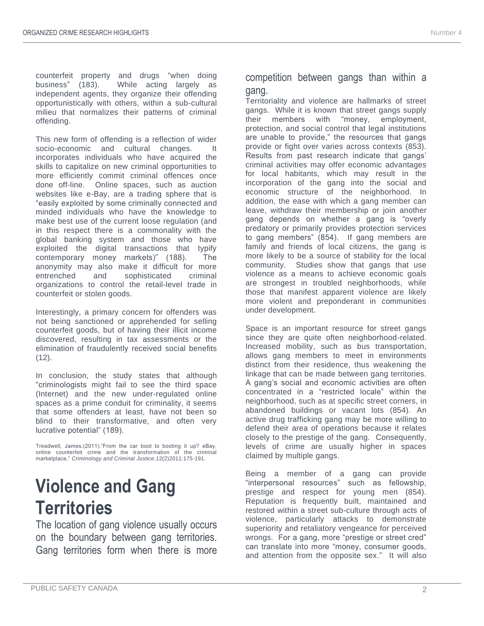counterfeit property and drugs "when doing business" (183). While acting largely as independent agents, they organize their offending opportunistically with others, within a sub-cultural milieu that normalizes their patterns of criminal offending.

This new form of offending is a reflection of wider socio-economic and cultural changes. It incorporates individuals who have acquired the skills to capitalize on new criminal opportunities to more efficiently commit criminal offences once done off-line. Online spaces, such as auction websites like e-Bay, are a trading sphere that is "easily exploited by some criminally connected and minded individuals who have the knowledge to make best use of the current loose regulation (and in this respect there is a commonality with the global banking system and those who have exploited the digital transactions that typify contemporary money markets)" (188). The anonymity may also make it difficult for more entrenched and sophisticated criminal organizations to control the retail-level trade in counterfeit or stolen goods.

Interestingly, a primary concern for offenders was not being sanctioned or apprehended for selling counterfeit goods, but of having their illicit income discovered, resulting in tax assessments or the elimination of fraudulently received social benefits  $(12)$ .

In conclusion, the study states that although "criminologists might fail to see the third space (Internet) and the new under-regulated online spaces as a prime conduit for criminality, it seems that some offenders at least, have not been so blind to their transformative, and often very lucrative potential" (189).

Treadwell, James.(2011)."From the car boot to booting it up? eBay, online counterfeit crime and the transformation of the criminal marketplace," *Criminology and Criminal Justice*,12(2)2011:175-191.

### **Violence and Gang Territories**

The location of gang violence usually occurs on the boundary between gang territories. Gang territories form when there is more

#### competition between gangs than within a gang.

Territoriality and violence are hallmarks of street gangs. While it is known that street gangs supply their members with "money, employment, protection, and social control that legal institutions are unable to provide," the resources that gangs provide or fight over varies across contexts (853). Results from past research indicate that gangs' criminal activities may offer economic advantages for local habitants, which may result in the incorporation of the gang into the social and economic structure of the neighborhood. In addition, the ease with which a gang member can leave, withdraw their membership or join another gang depends on whether a gang is "overly predatory or primarily provides protection services to gang members" (854). If gang members are family and friends of local citizens, the gang is more likely to be a source of stability for the local community. Studies show that gangs that use violence as a means to achieve economic goals are strongest in troubled neighborhoods, while those that manifest apparent violence are likely more violent and preponderant in communities under development.

Space is an important resource for street gangs since they are quite often neighborhood-related. Increased mobility, such as bus transportation, allows gang members to meet in environments distinct from their residence, thus weakening the linkage that can be made between gang territories. A gang's social and economic activities are often concentrated in a "restricted locale" within the neighborhood, such as at specific street corners, in abandoned buildings or vacant lots (854). An active drug trafficking gang may be more willing to defend their area of operations because it relates closely to the prestige of the gang. Consequently, levels of crime are usually higher in spaces claimed by multiple gangs.

Being a member of a gang can provide "interpersonal resources" such as fellowship, prestige and respect for young men (854). Reputation is frequently built, maintained and restored within a street sub-culture through acts of violence, particularly attacks to demonstrate superiority and retaliatory vengeance for perceived wrongs. For a gang, more "prestige or street cred" can translate into more "money, consumer goods, and attention from the opposite sex." It will also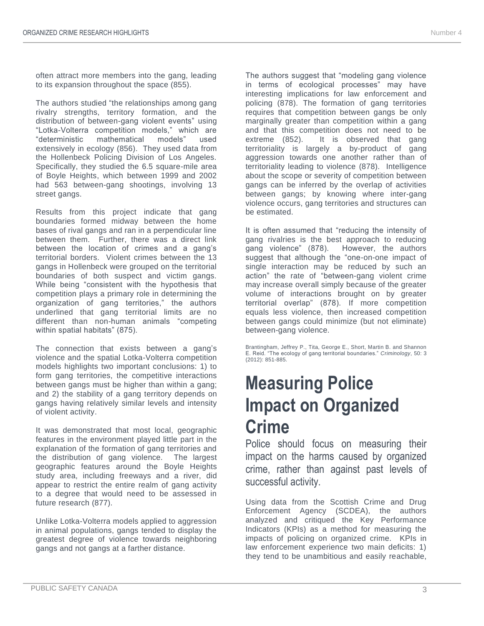often attract more members into the gang, leading to its expansion throughout the space (855).

The authors studied "the relationships among gang rivalry strengths, territory formation, and the distribution of between-gang violent events" using "Lotka-Volterra competition models," which are "deterministic mathematical models" used extensively in ecology (856). They used data from the Hollenbeck Policing Division of Los Angeles. Specifically, they studied the 6.5 square-mile area of Boyle Heights, which between 1999 and 2002 had 563 between-gang shootings, involving 13 street gangs.

Results from this project indicate that gang boundaries formed midway between the home bases of rival gangs and ran in a perpendicular line between them. Further, there was a direct link between the location of crimes and a gang's territorial borders. Violent crimes between the 13 gangs in Hollenbeck were grouped on the territorial boundaries of both suspect and victim gangs. While being "consistent with the hypothesis that competition plays a primary role in determining the organization of gang territories," the authors underlined that gang territorial limits are no different than non-human animals "competing within spatial habitats" (875).

The connection that exists between a gang's violence and the spatial Lotka-Volterra competition models highlights two important conclusions: 1) to form gang territories, the competitive interactions between gangs must be higher than within a gang; and 2) the stability of a gang territory depends on gangs having relatively similar levels and intensity of violent activity.

It was demonstrated that most local, geographic features in the environment played little part in the explanation of the formation of gang territories and the distribution of gang violence. The largest geographic features around the Boyle Heights study area, including freeways and a river, did appear to restrict the entire realm of gang activity to a degree that would need to be assessed in future research (877).

Unlike Lotka-Volterra models applied to aggression in animal populations, gangs tended to display the greatest degree of violence towards neighboring gangs and not gangs at a farther distance.

The authors suggest that "modeling gang violence in terms of ecological processes" may have interesting implications for law enforcement and policing (878). The formation of gang territories requires that competition between gangs be only marginally greater than competition within a gang and that this competition does not need to be extreme (852). It is observed that gang territoriality is largely a by-product of gang aggression towards one another rather than of territoriality leading to violence (878). Intelligence about the scope or severity of competition between gangs can be inferred by the overlap of activities between gangs; by knowing where inter-gang violence occurs, gang territories and structures can be estimated.

It is often assumed that "reducing the intensity of gang rivalries is the best approach to reducing gang violence" (878). However, the authors suggest that although the "one-on-one impact of single interaction may be reduced by such an action" the rate of "between-gang violent crime may increase overall simply because of the greater volume of interactions brought on by greater territorial overlap" (878). If more competition equals less violence, then increased competition between gangs could minimize (but not eliminate) between-gang violence.

Brantingham, Jeffrey P., Tita, George E., Short, Martin B. and Shannon E. Reid. "The ecology of gang territorial boundaries." *Criminology*, 50: 3 (2012): 851-885.

# **Measuring Police Impact on Organized Crime**

Police should focus on measuring their impact on the harms caused by organized crime, rather than against past levels of successful activity.

Using data from the Scottish Crime and Drug Enforcement Agency (SCDEA), the authors analyzed and critiqued the Key Performance Indicators (KPIs) as a method for measuring the impacts of policing on organized crime. KPIs in law enforcement experience two main deficits: 1) they tend to be unambitious and easily reachable,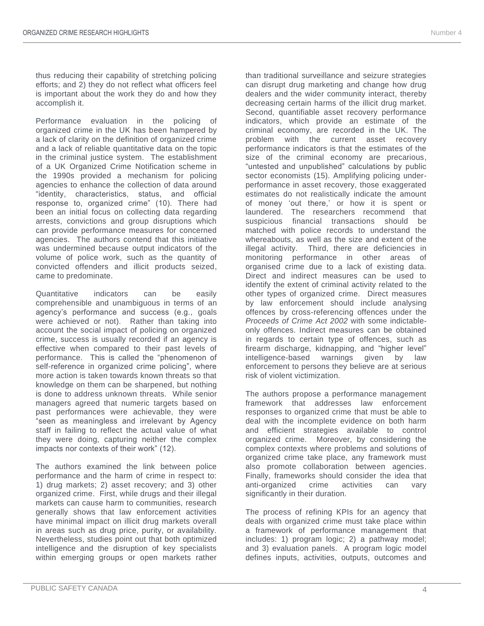thus reducing their capability of stretching policing efforts; and 2) they do not reflect what officers feel is important about the work they do and how they accomplish it.

Performance evaluation in the policing of organized crime in the UK has been hampered by a lack of clarity on the definition of organized crime and a lack of reliable quantitative data on the topic in the criminal justice system. The establishment of a UK Organized Crime Notification scheme in the 1990s provided a mechanism for policing agencies to enhance the collection of data around "identity, characteristics, status, and official response to, organized crime" (10). There had been an initial focus on collecting data regarding arrests, convictions and group disruptions which can provide performance measures for concerned agencies. The authors contend that this initiative was undermined because output indicators of the volume of police work, such as the quantity of convicted offenders and illicit products seized, came to predominate.

Quantitative indicators can be easily comprehensible and unambiguous in terms of an agency's performance and success (e.g., goals were achieved or not). Rather than taking into account the social impact of policing on organized crime, success is usually recorded if an agency is effective when compared to their past levels of performance. This is called the "phenomenon of self-reference in organized crime policing", where more action is taken towards known threats so that knowledge on them can be sharpened, but nothing is done to address unknown threats. While senior managers agreed that numeric targets based on past performances were achievable, they were "seen as meaningless and irrelevant by Agency staff in failing to reflect the actual value of what they were doing, capturing neither the complex impacts nor contexts of their work" (12).

The authors examined the link between police performance and the harm of crime in respect to: 1) drug markets; 2) asset recovery; and 3) other organized crime. First, while drugs and their illegal markets can cause harm to communities, research generally shows that law enforcement activities have minimal impact on illicit drug markets overall in areas such as drug price, purity, or availability. Nevertheless, studies point out that both optimized intelligence and the disruption of key specialists within emerging groups or open markets rather than traditional surveillance and seizure strategies can disrupt drug marketing and change how drug dealers and the wider community interact, thereby decreasing certain harms of the illicit drug market. Second, quantifiable asset recovery performance indicators, which provide an estimate of the criminal economy, are recorded in the UK. The problem with the current asset recovery performance indicators is that the estimates of the size of the criminal economy are precarious, "untested and unpublished" calculations by public sector economists (15). Amplifying policing underperformance in asset recovery, those exaggerated estimates do not realistically indicate the amount of money 'out there,' or how it is spent or laundered. The researchers recommend that suspicious financial transactions should be matched with police records to understand the whereabouts, as well as the size and extent of the illegal activity. Third, there are deficiencies in monitoring performance in other areas of organised crime due to a lack of existing data. Direct and indirect measures can be used to identify the extent of criminal activity related to the other types of organized crime. Direct measures by law enforcement should include analysing offences by cross-referencing offences under the *Proceeds of Crime Act 2002* with some indictableonly offences. Indirect measures can be obtained in regards to certain type of offences, such as firearm discharge, kidnapping, and "higher level" intelligence-based warnings given by law enforcement to persons they believe are at serious risk of violent victimization.

The authors propose a performance management framework that addresses law enforcement responses to organized crime that must be able to deal with the incomplete evidence on both harm and efficient strategies available to control organized crime. Moreover, by considering the complex contexts where problems and solutions of organized crime take place, any framework must also promote collaboration between agencies. Finally, frameworks should consider the idea that<br>anti-organized crime activities can varv anti-organized crime activities can vary significantly in their duration.

The process of refining KPIs for an agency that deals with organized crime must take place within a framework of performance management that includes: 1) program logic; 2) a pathway model; and 3) evaluation panels. A program logic model defines inputs, activities, outputs, outcomes and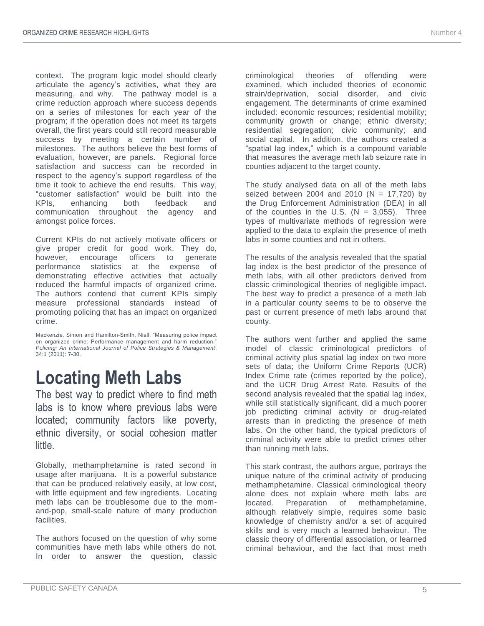context. The program logic model should clearly articulate the agency's activities, what they are measuring, and why. The pathway model is a crime reduction approach where success depends on a series of milestones for each year of the program; if the operation does not meet its targets overall, the first years could still record measurable success by meeting a certain number of milestones. The authors believe the best forms of evaluation, however, are panels. Regional force satisfaction and success can be recorded in respect to the agency's support regardless of the time it took to achieve the end results. This way, "customer satisfaction" would be built into the KPIs, enhancing both feedback and communication throughout the agency and amongst police forces.

Current KPIs do not actively motivate officers or give proper credit for good work. They do, however, encourage officers to generate performance statistics at the expense of demonstrating effective activities that actually reduced the harmful impacts of organized crime. The authors contend that current KPIs simply measure professional standards instead of promoting policing that has an impact on organized crime.

Mackenzie, Simon and Hamilton-Smith, Niall. "Measuring police impact on organized crime: Performance management and harm reduction." *Policing: An International Journal of Police Strategies & Management*, 34:1 (2011): 7-30.

### **Locating Meth Labs**

The best way to predict where to find meth labs is to know where previous labs were located; community factors like poverty, ethnic diversity, or social cohesion matter little.

Globally, methamphetamine is rated second in usage after marijuana. It is a powerful substance that can be produced relatively easily, at low cost, with little equipment and few ingredients. Locating meth labs can be troublesome due to the momand-pop, small-scale nature of many production facilities.

The authors focused on the question of why some communities have meth labs while others do not. In order to answer the question, classic criminological theories of offending were examined, which included theories of economic strain/deprivation, social disorder, and civic engagement. The determinants of crime examined included: economic resources; residential mobility; community growth or change; ethnic diversity; residential segregation; civic community; and social capital. In addition, the authors created a "spatial lag index," which is a compound variable that measures the average meth lab seizure rate in counties adjacent to the target county.

The study analysed data on all of the meth labs seized between 2004 and 2010 (N = 17,720) by the Drug Enforcement Administration (DEA) in all of the counties in the U.S.  $(N = 3,055)$ . Three types of multivariate methods of regression were applied to the data to explain the presence of meth labs in some counties and not in others.

The results of the analysis revealed that the spatial lag index is the best predictor of the presence of meth labs, with all other predictors derived from classic criminological theories of negligible impact. The best way to predict a presence of a meth lab in a particular county seems to be to observe the past or current presence of meth labs around that county.

The authors went further and applied the same model of classic criminological predictors of criminal activity plus spatial lag index on two more sets of data; the Uniform Crime Reports (UCR) Index Crime rate (crimes reported by the police), and the UCR Drug Arrest Rate. Results of the second analysis revealed that the spatial lag index, while still statistically significant, did a much poorer job predicting criminal activity or drug-related arrests than in predicting the presence of meth labs. On the other hand, the typical predictors of criminal activity were able to predict crimes other than running meth labs.

This stark contrast, the authors argue, portrays the unique nature of the criminal activity of producing methamphetamine. Classical criminological theory alone does not explain where meth labs are located. Preparation of methamphetamine, although relatively simple, requires some basic knowledge of chemistry and/or a set of acquired skills and is very much a learned behaviour. The classic theory of differential association, or learned criminal behaviour, and the fact that most meth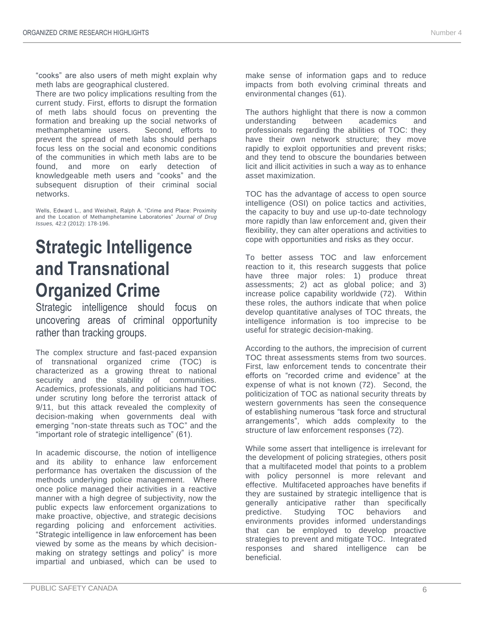"cooks" are also users of meth might explain why meth labs are geographical clustered.

There are two policy implications resulting from the current study. First, efforts to disrupt the formation of meth labs should focus on preventing the formation and breaking up the social networks of methamphetamine users. Second, efforts to prevent the spread of meth labs should perhaps focus less on the social and economic conditions of the communities in which meth labs are to be found, and more on early detection of knowledgeable meth users and "cooks" and the subsequent disruption of their criminal social networks.

Wells, Edward L., and Weisheit, Ralph A. "Crime and Place: Proximity and the Location of Methamphetamine Laboratories" *Journal of Drug Issues,* 42:2 (2012): 178-196.

# **Strategic Intelligence and Transnational Organized Crime**

Strategic intelligence should focus on uncovering areas of criminal opportunity rather than tracking groups.

The complex structure and fast-paced expansion of transnational organized crime (TOC) is characterized as a growing threat to national security and the stability of communities. Academics, professionals, and politicians had TOC under scrutiny long before the terrorist attack of 9/11, but this attack revealed the complexity of decision-making when governments deal with emerging "non-state threats such as TOC" and the "important role of strategic intelligence" (61).

In academic discourse, the notion of intelligence and its ability to enhance law enforcement performance has overtaken the discussion of the methods underlying police management. Where once police managed their activities in a reactive manner with a high degree of subjectivity, now the public expects law enforcement organizations to make proactive, objective, and strategic decisions regarding policing and enforcement activities. "Strategic intelligence in law enforcement has been viewed by some as the means by which decisionmaking on strategy settings and policy" is more impartial and unbiased, which can be used to

make sense of information gaps and to reduce impacts from both evolving criminal threats and environmental changes (61).

The authors highlight that there is now a common understanding between academics and professionals regarding the abilities of TOC: they have their own network structure; they move rapidly to exploit opportunities and prevent risks; and they tend to obscure the boundaries between licit and illicit activities in such a way as to enhance asset maximization.

TOC has the advantage of access to open source intelligence (OSI) on police tactics and activities, the capacity to buy and use up-to-date technology more rapidly than law enforcement and, given their flexibility, they can alter operations and activities to cope with opportunities and risks as they occur.

To better assess TOC and law enforcement reaction to it, this research suggests that police have three major roles: 1) produce threat assessments; 2) act as global police; and 3) increase police capability worldwide (72). Within these roles, the authors indicate that when police develop quantitative analyses of TOC threats, the intelligence information is too imprecise to be useful for strategic decision-making.

According to the authors, the imprecision of current TOC threat assessments stems from two sources. First, law enforcement tends to concentrate their efforts on "recorded crime and evidence" at the expense of what is not known (72). Second, the politicization of TOC as national security threats by western governments has seen the consequence of establishing numerous "task force and structural arrangements", which adds complexity to the structure of law enforcement responses (72).

While some assert that intelligence is irrelevant for the development of policing strategies, others posit that a multifaceted model that points to a problem with policy personnel is more relevant and effective. Multifaceted approaches have benefits if they are sustained by strategic intelligence that is generally anticipative rather than specifically predictive. Studying TOC behaviors and environments provides informed understandings that can be employed to develop proactive strategies to prevent and mitigate TOC. Integrated responses and shared intelligence can be beneficial.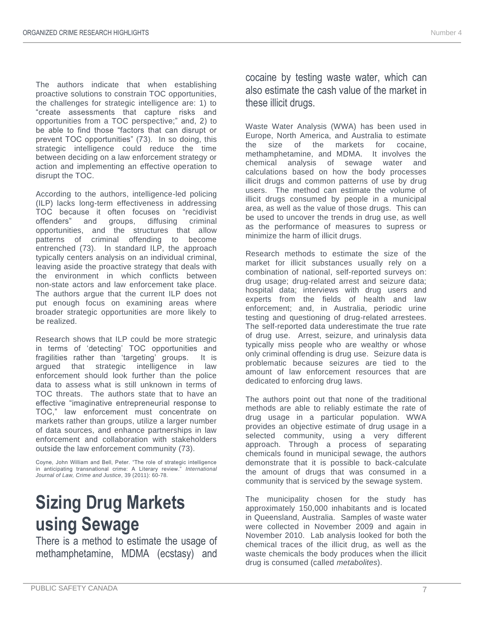The authors indicate that when establishing proactive solutions to constrain TOC opportunities, the challenges for strategic intelligence are: 1) to "create assessments that capture risks and opportunities from a TOC perspective;" and, 2) to be able to find those "factors that can disrupt or prevent TOC opportunities" (73). In so doing, this strategic intelligence could reduce the time between deciding on a law enforcement strategy or action and implementing an effective operation to disrupt the TOC.

According to the authors, intelligence-led policing (ILP) lacks long-term effectiveness in addressing TOC because it often focuses on "recidivist offenders" and groups, diffusing criminal opportunities, and the structures that allow patterns of criminal offending to become entrenched (73). In standard ILP, the approach typically centers analysis on an individual criminal, leaving aside the proactive strategy that deals with the environment in which conflicts between non-state actors and law enforcement take place. The authors argue that the current ILP does not put enough focus on examining areas where broader strategic opportunities are more likely to be realized.

Research shows that ILP could be more strategic in terms of 'detecting' TOC opportunities and fragilities rather than 'targeting' groups. It is argued that strategic intelligence in law enforcement should look further than the police data to assess what is still unknown in terms of TOC threats. The authors state that to have an effective "imaginative entrepreneurial response to TOC," law enforcement must concentrate on markets rather than groups, utilize a larger number of data sources, and enhance partnerships in law enforcement and collaboration with stakeholders outside the law enforcement community (73).

Coyne, John William and Bell, Peter. "The role of strategic intelligence in anticipating transnational crime: A Literary review." *International Journal of Law, Crime and Justice*, 39 (2011): 60-78.

# **Sizing Drug Markets using Sewage**

There is a method to estimate the usage of methamphetamine, MDMA (ecstasy) and

cocaine by testing waste water, which can also estimate the cash value of the market in these illicit drugs.

Waste Water Analysis (WWA) has been used in Europe, North America, and Australia to estimate the size of the markets for cocaine, methamphetamine, and MDMA. It involves the chemical analysis of sewage water and calculations based on how the body processes illicit drugs and common patterns of use by drug users. The method can estimate the volume of illicit drugs consumed by people in a municipal area, as well as the value of those drugs. This can be used to uncover the trends in drug use, as well as the performance of measures to supress or minimize the harm of illicit drugs.

Research methods to estimate the size of the market for illicit substances usually rely on a combination of national, self-reported surveys on: drug usage; drug-related arrest and seizure data; hospital data; interviews with drug users and experts from the fields of health and law enforcement; and, in Australia, periodic urine testing and questioning of drug-related arrestees. The self-reported data underestimate the true rate of drug use. Arrest, seizure, and urinalysis data typically miss people who are wealthy or whose only criminal offending is drug use. Seizure data is problematic because seizures are tied to the amount of law enforcement resources that are dedicated to enforcing drug laws.

The authors point out that none of the traditional methods are able to reliably estimate the rate of drug usage in a particular population. WWA provides an objective estimate of drug usage in a selected community, using a very different approach. Through a process of separating chemicals found in municipal sewage, the authors demonstrate that it is possible to back-calculate the amount of drugs that was consumed in a community that is serviced by the sewage system.

The municipality chosen for the study has approximately 150,000 inhabitants and is located in Queensland, Australia. Samples of waste water were collected in November 2009 and again in November 2010. Lab analysis looked for both the chemical traces of the illicit drug, as well as the waste chemicals the body produces when the illicit drug is consumed (called *metabolites*).